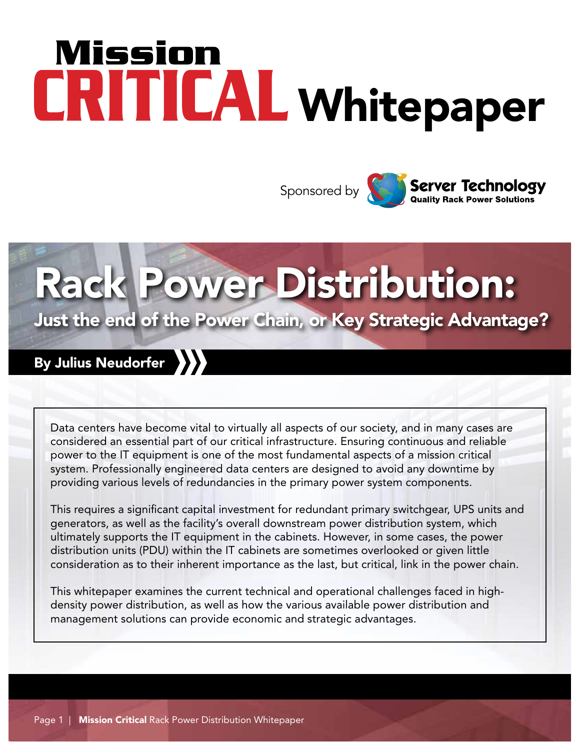# Mission CRITICAL Whitepaper



# Rack Power Distribution:

### Just the end of the Power Chain, or Key Strategic Advantage?

### By Julius Neudorfer

Data centers have become vital to virtually all aspects of our society, and in many cases are considered an essential part of our critical infrastructure. Ensuring continuous and reliable power to the IT equipment is one of the most fundamental aspects of a mission critical system. Professionally engineered data centers are designed to avoid any downtime by providing various levels of redundancies in the primary power system components.

This requires a significant capital investment for redundant primary switchgear, UPS units and generators, as well as the facility's overall downstream power distribution system, which ultimately supports the IT equipment in the cabinets. However, in some cases, the power distribution units (PDU) within the IT cabinets are sometimes overlooked or given little consideration as to their inherent importance as the last, but critical, link in the power chain.

This whitepaper examines the current technical and operational challenges faced in highdensity power distribution, as well as how the various available power distribution and management solutions can provide economic and strategic advantages.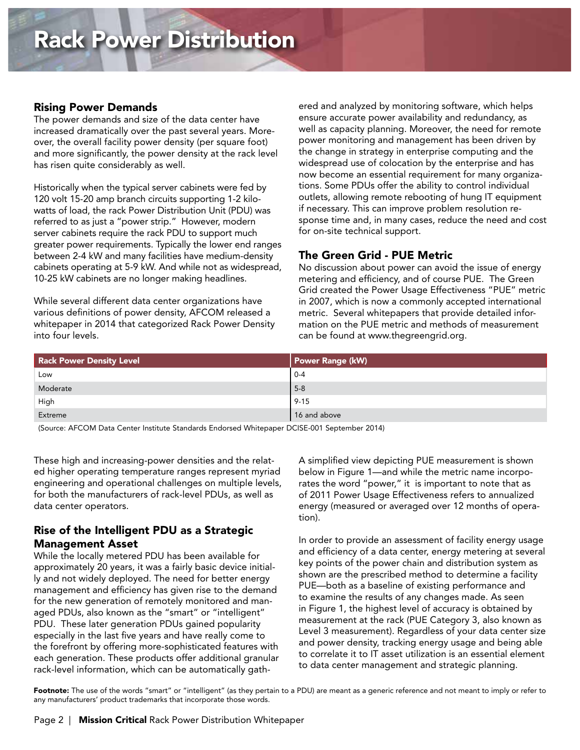The power demands and size of the data center have increased dramatically over the past several years. Moreover, the overall facility power density (per square foot) and more significantly, the power density at the rack level has risen quite considerably as well.

Historically when the typical server cabinets were fed by 120 volt 15-20 amp branch circuits supporting 1-2 kilowatts of load, the rack Power Distribution Unit (PDU) was referred to as just a "power strip." However, modern server cabinets require the rack PDU to support much greater power requirements. Typically the lower end ranges between 2-4 kW and many facilities have medium-density cabinets operating at 5-9 kW. And while not as widespread, 10-25 kW cabinets are no longer making headlines.

While several different data center organizations have various definitions of power density, AFCOM released a whitepaper in 2014 that categorized Rack Power Density into four levels.

ered and analyzed by monitoring software, which helps ensure accurate power availability and redundancy, as well as capacity planning. Moreover, the need for remote power monitoring and management has been driven by the change in strategy in enterprise computing and the widespread use of colocation by the enterprise and has now become an essential requirement for many organizations. Some PDUs offer the ability to control individual outlets, allowing remote rebooting of hung IT equipment if necessary. This can improve problem resolution response time and, in many cases, reduce the need and cost for on-site technical support.

#### The Green Grid - PUE Metric

No discussion about power can avoid the issue of energy metering and efficiency, and of course PUE. The Green Grid created the Power Usage Effectiveness "PUE" metric in 2007, which is now a commonly accepted international metric. Several whitepapers that provide detailed information on the PUE metric and methods of measurement can be found at www.thegreengrid.org.

| <b>Rack Power Density Level</b> | <b>Power Range (kW)</b> |  |  |
|---------------------------------|-------------------------|--|--|
| Low                             | l 0-4                   |  |  |
| Moderate                        | $5-8$                   |  |  |
| High                            | $9 - 15$                |  |  |
| Extreme                         | 16 and above            |  |  |

(Source: AFCOM Data Center Institute Standards Endorsed Whitepaper DCISE-001 September 2014)

These high and increasing-power densities and the related higher operating temperature ranges represent myriad engineering and operational challenges on multiple levels, for both the manufacturers of rack-level PDUs, as well as data center operators.

#### Rise of the Intelligent PDU as a Strategic Management Asset

While the locally metered PDU has been available for approximately 20 years, it was a fairly basic device initially and not widely deployed. The need for better energy management and efficiency has given rise to the demand for the new generation of remotely monitored and managed PDUs, also known as the "smart" or "intelligent" PDU. These later generation PDUs gained popularity especially in the last five years and have really come to the forefront by offering more-sophisticated features with each generation. These products offer additional granular rack-level information, which can be automatically gathA simplified view depicting PUE measurement is shown below in Figure 1—and while the metric name incorporates the word "power," it is important to note that as of 2011 Power Usage Effectiveness refers to annualized energy (measured or averaged over 12 months of operation).

In order to provide an assessment of facility energy usage and efficiency of a data center, energy metering at several key points of the power chain and distribution system as shown are the prescribed method to determine a facility PUE—both as a baseline of existing performance and to examine the results of any changes made. As seen in Figure 1, the highest level of accuracy is obtained by measurement at the rack (PUE Category 3, also known as Level 3 measurement). Regardless of your data center size and power density, tracking energy usage and being able to correlate it to IT asset utilization is an essential element to data center management and strategic planning.

Footnote: The use of the words "smart" or "intelligent" (as they pertain to a PDU) are meant as a generic reference and not meant to imply or refer to any manufacturers' product trademarks that incorporate those words.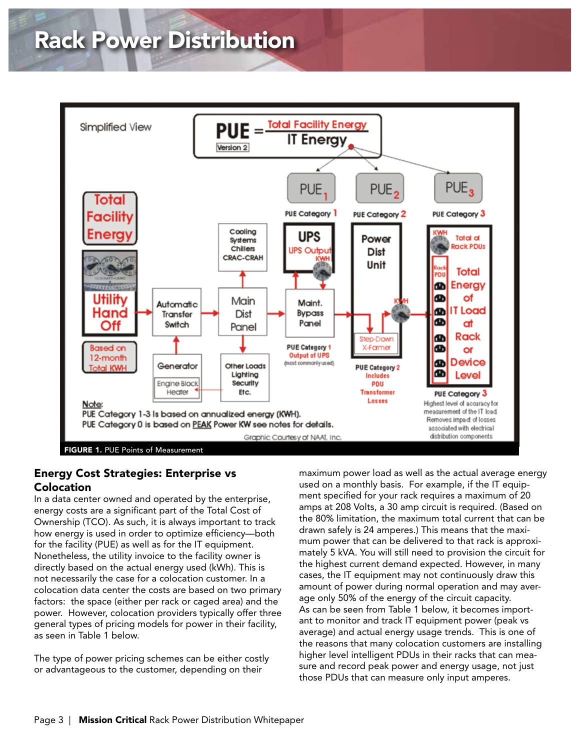

#### Energy Cost Strategies: Enterprise vs Colocation

In a data center owned and operated by the enterprise, energy costs are a significant part of the Total Cost of Ownership (TCO). As such, it is always important to track how energy is used in order to optimize efficiency—both for the facility (PUE) as well as for the IT equipment. Nonetheless, the utility invoice to the facility owner is directly based on the actual energy used (kWh). This is not necessarily the case for a colocation customer. In a colocation data center the costs are based on two primary factors: the space (either per rack or caged area) and the power. However, colocation providers typically offer three general types of pricing models for power in their facility, as seen in Table 1 below.

The type of power pricing schemes can be either costly or advantageous to the customer, depending on their

maximum power load as well as the actual average energy used on a monthly basis. For example, if the IT equipment specified for your rack requires a maximum of 20 amps at 208 Volts, a 30 amp circuit is required. (Based on the 80% limitation, the maximum total current that can be drawn safely is 24 amperes.) This means that the maximum power that can be delivered to that rack is approximately 5 kVA. You will still need to provision the circuit for the highest current demand expected. However, in many cases, the IT equipment may not continuously draw this amount of power during normal operation and may average only 50% of the energy of the circuit capacity. As can be seen from Table 1 below, it becomes important to monitor and track IT equipment power (peak vs average) and actual energy usage trends. This is one of the reasons that many colocation customers are installing higher level intelligent PDUs in their racks that can measure and record peak power and energy usage, not just those PDUs that can measure only input amperes.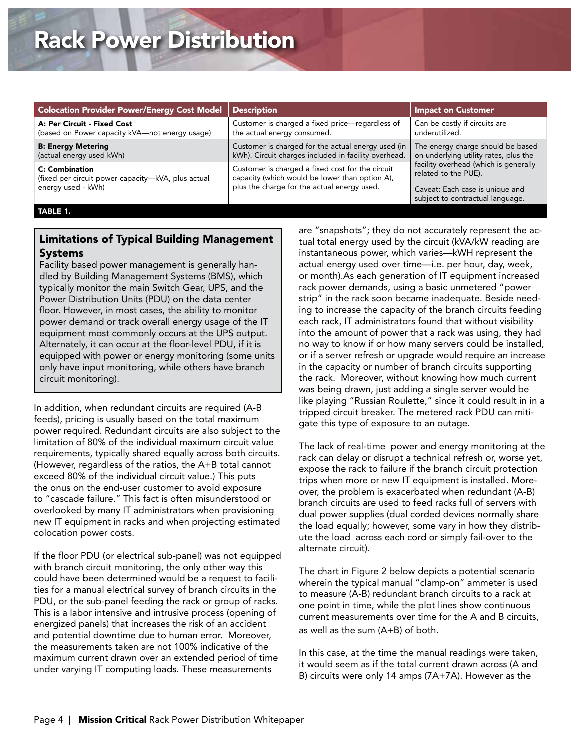| <b>Colocation Provider Power/Energy Cost Model</b>                                                | Description                                                                                                                                       | <b>Impact on Customer</b>                                                                                                            |  |
|---------------------------------------------------------------------------------------------------|---------------------------------------------------------------------------------------------------------------------------------------------------|--------------------------------------------------------------------------------------------------------------------------------------|--|
| A: Per Circuit - Fixed Cost                                                                       | Customer is charged a fixed price-regardless of                                                                                                   | Can be costly if circuits are                                                                                                        |  |
| (based on Power capacity kVA-not energy usage)                                                    | the actual energy consumed.                                                                                                                       | underutilized.                                                                                                                       |  |
| <b>B: Energy Metering</b>                                                                         | Customer is charged for the actual energy used (in                                                                                                | The energy charge should be based                                                                                                    |  |
| (actual energy used kWh)                                                                          | kWh). Circuit charges included in facility overhead.                                                                                              | on underlying utility rates, plus the                                                                                                |  |
| <b>C: Combination</b><br>(fixed per circuit power capacity-kVA, plus actual<br>energy used - kWh) | Customer is charged a fixed cost for the circuit<br>capacity (which would be lower than option A),<br>plus the charge for the actual energy used. | facility overhead (which is generally<br>related to the PUE).<br>Caveat: Each case is unique and<br>subject to contractual language. |  |

#### TABLE 1.

#### Limitations of Typical Building Management Systems

Facility based power management is generally handled by Building Management Systems (BMS), which typically monitor the main Switch Gear, UPS, and the Power Distribution Units (PDU) on the data center floor. However, in most cases, the ability to monitor power demand or track overall energy usage of the IT equipment most commonly occurs at the UPS output. Alternately, it can occur at the floor-level PDU, if it is equipped with power or energy monitoring (some units only have input monitoring, while others have branch circuit monitoring).

In addition, when redundant circuits are required (A-B feeds), pricing is usually based on the total maximum power required. Redundant circuits are also subject to the limitation of 80% of the individual maximum circuit value requirements, typically shared equally across both circuits. (However, regardless of the ratios, the A+B total cannot exceed 80% of the individual circuit value.) This puts the onus on the end-user customer to avoid exposure to "cascade failure." This fact is often misunderstood or overlooked by many IT administrators when provisioning new IT equipment in racks and when projecting estimated colocation power costs.

If the floor PDU (or electrical sub-panel) was not equipped with branch circuit monitoring, the only other way this could have been determined would be a request to facilities for a manual electrical survey of branch circuits in the PDU, or the sub-panel feeding the rack or group of racks. This is a labor intensive and intrusive process (opening of energized panels) that increases the risk of an accident and potential downtime due to human error. Moreover, the measurements taken are not 100% indicative of the maximum current drawn over an extended period of time under varying IT computing loads. These measurements

are "snapshots"; they do not accurately represent the actual total energy used by the circuit (kVA/kW reading are instantaneous power, which varies—kWH represent the actual energy used over time—i.e. per hour, day, week, or month).As each generation of IT equipment increased rack power demands, using a basic unmetered "power strip" in the rack soon became inadequate. Beside needing to increase the capacity of the branch circuits feeding each rack, IT administrators found that without visibility into the amount of power that a rack was using, they had no way to know if or how many servers could be installed, or if a server refresh or upgrade would require an increase in the capacity or number of branch circuits supporting the rack. Moreover, without knowing how much current was being drawn, just adding a single server would be like playing "Russian Roulette," since it could result in in a tripped circuit breaker. The metered rack PDU can mitigate this type of exposure to an outage.

The lack of real-time power and energy monitoring at the rack can delay or disrupt a technical refresh or, worse yet, expose the rack to failure if the branch circuit protection trips when more or new IT equipment is installed. Moreover, the problem is exacerbated when redundant (A-B) branch circuits are used to feed racks full of servers with dual power supplies (dual corded devices normally share the load equally; however, some vary in how they distribute the load across each cord or simply fail-over to the alternate circuit).

The chart in Figure 2 below depicts a potential scenario wherein the typical manual "clamp-on" ammeter is used to measure (A-B) redundant branch circuits to a rack at one point in time, while the plot lines show continuous current measurements over time for the A and B circuits, as well as the sum (A+B) of both.

In this case, at the time the manual readings were taken, it would seem as if the total current drawn across (A and B) circuits were only 14 amps (7A+7A). However as the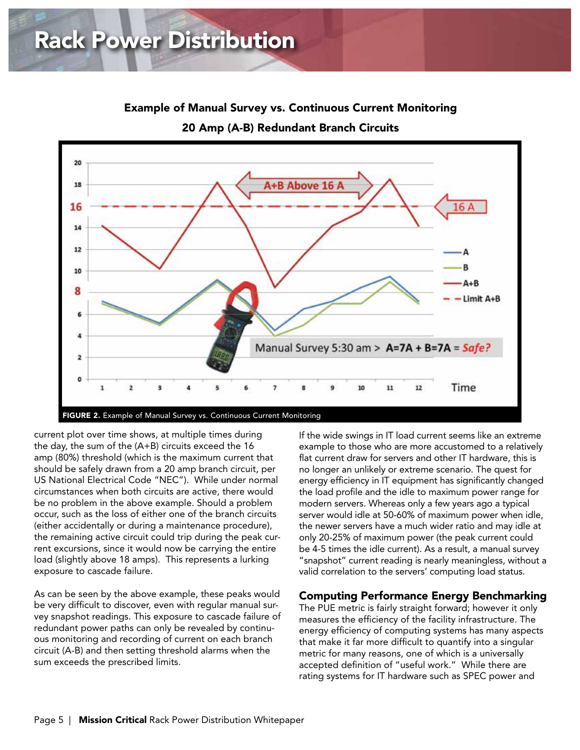

Example of Manual Survey vs. Continuous Current Monitoring

20 Amp (A-B) Redundant Branch Circuits

current plot over time shows, at multiple times during the day, the sum of the (A+B) circuits exceed the 16 amp (80%) threshold (which is the maximum current that should be safely drawn from a 20 amp branch circuit, per US National Electrical Code "NEC"). While under normal circumstances when both circuits are active, there would be no problem in the above example. Should a problem occur, such as the loss of either one of the branch circuits (either accidentally or during a maintenance procedure), the remaining active circuit could trip during the peak current excursions, since it would now be carrying the entire load (slightly above 18 amps). This represents a lurking exposure to cascade failure.

As can be seen by the above example, these peaks would be very difficult to discover, even with regular manual survey snapshot readings. This exposure to cascade failure of redundant power paths can only be revealed by continuous monitoring and recording of current on each branch circuit (A-B) and then setting threshold alarms when the sum exceeds the prescribed limits.

If the wide swings in IT load current seems like an extreme example to those who are more accustomed to a relatively flat current draw for servers and other IT hardware, this is no longer an unlikely or extreme scenario. The quest for energy efficiency in IT equipment has significantly changed the load profile and the idle to maximum power range for modern servers. Whereas only a few years ago a typical server would idle at 50-60% of maximum power when idle, the newer servers have a much wider ratio and may idle at only 20-25% of maximum power (the peak current could be 4-5 times the idle current). As a result, a manual survey "snapshot" current reading is nearly meaningless, without a valid correlation to the servers' computing load status.

#### Computing Performance Energy Benchmarking

The PUE metric is fairly straight forward; however it only measures the efficiency of the facility infrastructure. The energy efficiency of computing systems has many aspects that make it far more difficult to quantify into a singular metric for many reasons, one of which is a universally accepted definition of "useful work." While there are rating systems for IT hardware such as SPEC power and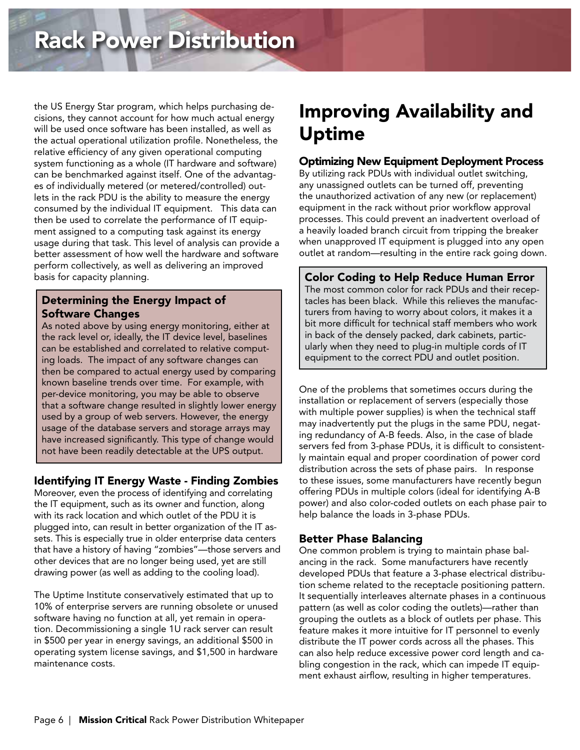the US Energy Star program, which helps purchasing decisions, they cannot account for how much actual energy will be used once software has been installed, as well as the actual operational utilization profile. Nonetheless, the relative efficiency of any given operational computing system functioning as a whole (IT hardware and software) can be benchmarked against itself. One of the advantages of individually metered (or metered/controlled) outlets in the rack PDU is the ability to measure the energy consumed by the individual IT equipment. This data can then be used to correlate the performance of IT equipment assigned to a computing task against its energy usage during that task. This level of analysis can provide a better assessment of how well the hardware and software perform collectively, as well as delivering an improved basis for capacity planning.

#### Determining the Energy Impact of Software Changes

As noted above by using energy monitoring, either at the rack level or, ideally, the IT device level, baselines can be established and correlated to relative computing loads. The impact of any software changes can then be compared to actual energy used by comparing known baseline trends over time. For example, with per-device monitoring, you may be able to observe that a software change resulted in slightly lower energy used by a group of web servers. However, the energy usage of the database servers and storage arrays may have increased significantly. This type of change would not have been readily detectable at the UPS output.

### Identifying IT Energy Waste - Finding Zombies

Moreover, even the process of identifying and correlating the IT equipment, such as its owner and function, along with its rack location and which outlet of the PDU it is plugged into, can result in better organization of the IT assets. This is especially true in older enterprise data centers that have a history of having "zombies"—those servers and other devices that are no longer being used, yet are still drawing power (as well as adding to the cooling load).

The Uptime Institute conservatively estimated that up to 10% of enterprise servers are running obsolete or unused software having no function at all, yet remain in operation. Decommissioning a single 1U rack server can result in \$500 per year in energy savings, an additional \$500 in operating system license savings, and \$1,500 in hardware maintenance costs.

### Improving Availability and Uptime

#### Optimizing New Equipment Deployment Process

By utilizing rack PDUs with individual outlet switching, any unassigned outlets can be turned off, preventing the unauthorized activation of any new (or replacement) equipment in the rack without prior workflow approval processes. This could prevent an inadvertent overload of a heavily loaded branch circuit from tripping the breaker when unapproved IT equipment is plugged into any open outlet at random—resulting in the entire rack going down.

Color Coding to Help Reduce Human Error The most common color for rack PDUs and their receptacles has been black. While this relieves the manufacturers from having to worry about colors, it makes it a bit more difficult for technical staff members who work in back of the densely packed, dark cabinets, particularly when they need to plug-in multiple cords of IT equipment to the correct PDU and outlet position.

One of the problems that sometimes occurs during the installation or replacement of servers (especially those with multiple power supplies) is when the technical staff may inadvertently put the plugs in the same PDU, negating redundancy of A-B feeds. Also, in the case of blade servers fed from 3-phase PDUs, it is difficult to consistently maintain equal and proper coordination of power cord distribution across the sets of phase pairs. In response to these issues, some manufacturers have recently begun offering PDUs in multiple colors (ideal for identifying A-B power) and also color-coded outlets on each phase pair to help balance the loads in 3-phase PDUs.

### Better Phase Balancing

One common problem is trying to maintain phase balancing in the rack. Some manufacturers have recently developed PDUs that feature a 3-phase electrical distribution scheme related to the receptacle positioning pattern. It sequentially interleaves alternate phases in a continuous pattern (as well as color coding the outlets)—rather than grouping the outlets as a block of outlets per phase. This feature makes it more intuitive for IT personnel to evenly distribute the IT power cords across all the phases. This can also help reduce excessive power cord length and cabling congestion in the rack, which can impede IT equipment exhaust airflow, resulting in higher temperatures.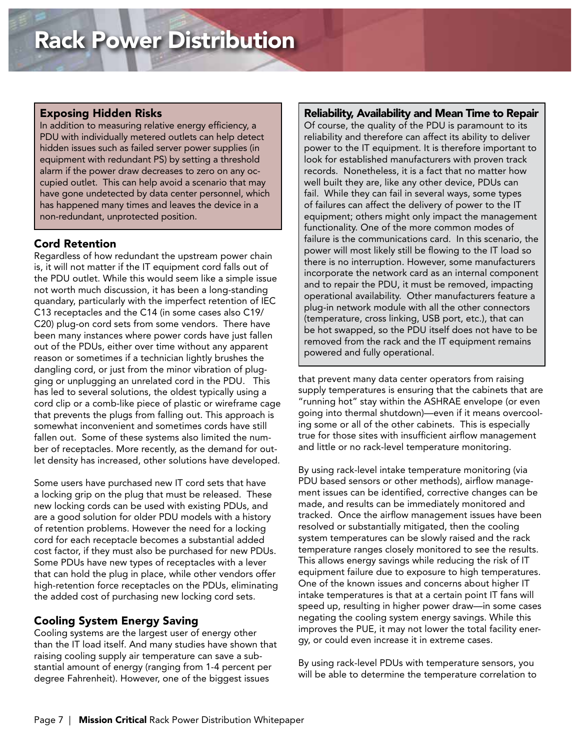#### Exposing Hidden Risks

In addition to measuring relative energy efficiency, a PDU with individually metered outlets can help detect hidden issues such as failed server power supplies (in equipment with redundant PS) by setting a threshold alarm if the power draw decreases to zero on any occupied outlet. This can help avoid a scenario that may have gone undetected by data center personnel, which has happened many times and leaves the device in a non-redundant, unprotected position.

#### Cord Retention

Regardless of how redundant the upstream power chain is, it will not matter if the IT equipment cord falls out of the PDU outlet. While this would seem like a simple issue not worth much discussion, it has been a long-standing quandary, particularly with the imperfect retention of IEC C13 receptacles and the C14 (in some cases also C19/ C20) plug-on cord sets from some vendors. There have been many instances where power cords have just fallen out of the PDUs, either over time without any apparent reason or sometimes if a technician lightly brushes the dangling cord, or just from the minor vibration of plugging or unplugging an unrelated cord in the PDU. This has led to several solutions, the oldest typically using a cord clip or a comb-like piece of plastic or wireframe cage that prevents the plugs from falling out. This approach is somewhat inconvenient and sometimes cords have still fallen out. Some of these systems also limited the number of receptacles. More recently, as the demand for outlet density has increased, other solutions have developed.

Some users have purchased new IT cord sets that have a locking grip on the plug that must be released. These new locking cords can be used with existing PDUs, and are a good solution for older PDU models with a history of retention problems. However the need for a locking cord for each receptacle becomes a substantial added cost factor, if they must also be purchased for new PDUs. Some PDUs have new types of receptacles with a lever that can hold the plug in place, while other vendors offer high-retention force receptacles on the PDUs, eliminating the added cost of purchasing new locking cord sets.

### Cooling System Energy Saving

Cooling systems are the largest user of energy other than the IT load itself. And many studies have shown that raising cooling supply air temperature can save a substantial amount of energy (ranging from 1-4 percent per degree Fahrenheit). However, one of the biggest issues

#### Reliability, Availability and Mean Time to Repair

Of course, the quality of the PDU is paramount to its reliability and therefore can affect its ability to deliver power to the IT equipment. It is therefore important to look for established manufacturers with proven track records. Nonetheless, it is a fact that no matter how well built they are, like any other device, PDUs can fail. While they can fail in several ways, some types of failures can affect the delivery of power to the IT equipment; others might only impact the management functionality. One of the more common modes of failure is the communications card. In this scenario, the power will most likely still be flowing to the IT load so there is no interruption. However, some manufacturers incorporate the network card as an internal component and to repair the PDU, it must be removed, impacting operational availability. Other manufacturers feature a plug-in network module with all the other connectors (temperature, cross linking, USB port, etc.), that can be hot swapped, so the PDU itself does not have to be removed from the rack and the IT equipment remains powered and fully operational.

that prevent many data center operators from raising supply temperatures is ensuring that the cabinets that are "running hot" stay within the ASHRAE envelope (or even going into thermal shutdown)—even if it means overcooling some or all of the other cabinets. This is especially true for those sites with insufficient airflow management and little or no rack-level temperature monitoring.

By using rack-level intake temperature monitoring (via PDU based sensors or other methods), airflow management issues can be identified, corrective changes can be made, and results can be immediately monitored and tracked. Once the airflow management issues have been resolved or substantially mitigated, then the cooling system temperatures can be slowly raised and the rack temperature ranges closely monitored to see the results. This allows energy savings while reducing the risk of IT equipment failure due to exposure to high temperatures. One of the known issues and concerns about higher IT intake temperatures is that at a certain point IT fans will speed up, resulting in higher power draw—in some cases negating the cooling system energy savings. While this improves the PUE, it may not lower the total facility energy, or could even increase it in extreme cases.

By using rack-level PDUs with temperature sensors, you will be able to determine the temperature correlation to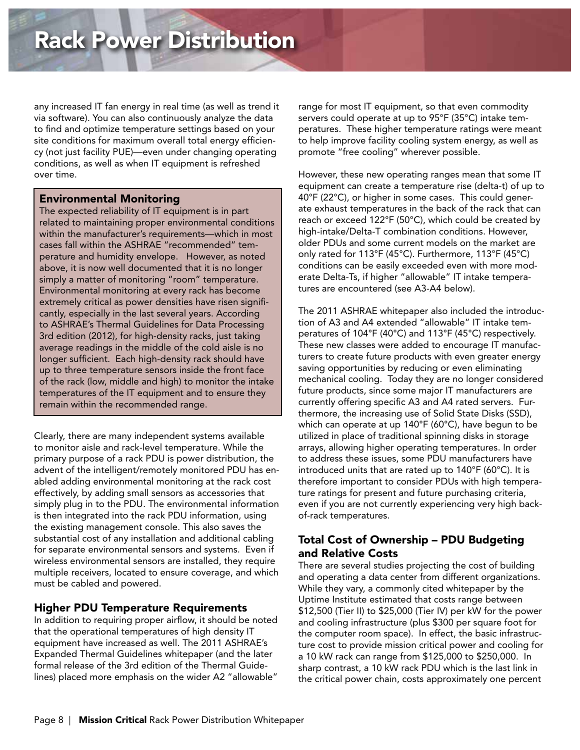any increased IT fan energy in real time (as well as trend it via software). You can also continuously analyze the data to find and optimize temperature settings based on your site conditions for maximum overall total energy efficiency (not just facility PUE)—even under changing operating conditions, as well as when IT equipment is refreshed over time.

#### Environmental Monitoring

The expected reliability of IT equipment is in part related to maintaining proper environmental conditions within the manufacturer's requirements—which in most cases fall within the ASHRAE "recommended" temperature and humidity envelope. However, as noted above, it is now well documented that it is no longer simply a matter of monitoring "room" temperature. Environmental monitoring at every rack has become extremely critical as power densities have risen significantly, especially in the last several years. According to ASHRAE's Thermal Guidelines for Data Processing 3rd edition (2012), for high-density racks, just taking average readings in the middle of the cold aisle is no longer sufficient. Each high-density rack should have up to three temperature sensors inside the front face of the rack (low, middle and high) to monitor the intake temperatures of the IT equipment and to ensure they remain within the recommended range.

Clearly, there are many independent systems available to monitor aisle and rack-level temperature. While the primary purpose of a rack PDU is power distribution, the advent of the intelligent/remotely monitored PDU has enabled adding environmental monitoring at the rack cost effectively, by adding small sensors as accessories that simply plug in to the PDU. The environmental information is then integrated into the rack PDU information, using the existing management console. This also saves the substantial cost of any installation and additional cabling for separate environmental sensors and systems. Even if wireless environmental sensors are installed, they require multiple receivers, located to ensure coverage, and which must be cabled and powered.

### Higher PDU Temperature Requirements

In addition to requiring proper airflow, it should be noted that the operational temperatures of high density IT equipment have increased as well. The 2011 ASHRAE's Expanded Thermal Guidelines whitepaper (and the later formal release of the 3rd edition of the Thermal Guidelines) placed more emphasis on the wider A2 "allowable"

range for most IT equipment, so that even commodity servers could operate at up to 95°F (35°C) intake temperatures. These higher temperature ratings were meant to help improve facility cooling system energy, as well as promote "free cooling" wherever possible.

However, these new operating ranges mean that some IT equipment can create a temperature rise (delta-t) of up to 40°F (22°C), or higher in some cases. This could generate exhaust temperatures in the back of the rack that can reach or exceed 122°F (50°C), which could be created by high-intake/Delta-T combination conditions. However, older PDUs and some current models on the market are only rated for 113°F (45°C). Furthermore, 113°F (45°C) conditions can be easily exceeded even with more moderate Delta-Ts, if higher "allowable" IT intake temperatures are encountered (see A3-A4 below).

The 2011 ASHRAE whitepaper also included the introduction of A3 and A4 extended "allowable" IT intake temperatures of 104°F (40°C) and 113°F (45°C) respectively. These new classes were added to encourage IT manufacturers to create future products with even greater energy saving opportunities by reducing or even eliminating mechanical cooling. Today they are no longer considered future products, since some major IT manufacturers are currently offering specific A3 and A4 rated servers. Furthermore, the increasing use of Solid State Disks (SSD), which can operate at up 140°F (60°C), have begun to be utilized in place of traditional spinning disks in storage arrays, allowing higher operating temperatures. In order to address these issues, some PDU manufacturers have introduced units that are rated up to 140°F (60°C). It is therefore important to consider PDUs with high temperature ratings for present and future purchasing criteria, even if you are not currently experiencing very high backof-rack temperatures.

### Total Cost of Ownership – PDU Budgeting and Relative Costs

There are several studies projecting the cost of building and operating a data center from different organizations. While they vary, a commonly cited whitepaper by the Uptime Institute estimated that costs range between \$12,500 (Tier II) to \$25,000 (Tier IV) per kW for the power and cooling infrastructure (plus \$300 per square foot for the computer room space). In effect, the basic infrastructure cost to provide mission critical power and cooling for a 10 kW rack can range from \$125,000 to \$250,000. In sharp contrast, a 10 kW rack PDU which is the last link in the critical power chain, costs approximately one percent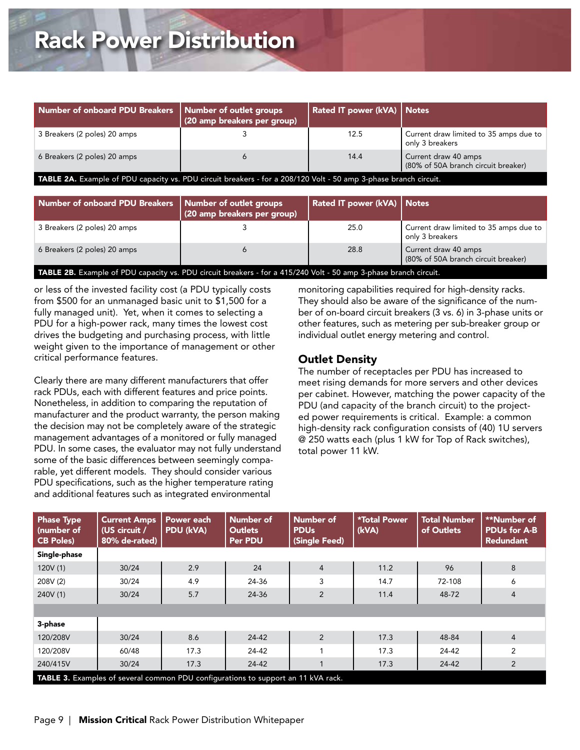| Number of onboard PDU Breakers   Number of outlet groups                                                         | (20 amp breakers per group) | Rated IT power (kVA)   Notes |                                                             |  |  |
|------------------------------------------------------------------------------------------------------------------|-----------------------------|------------------------------|-------------------------------------------------------------|--|--|
| 3 Breakers (2 poles) 20 amps                                                                                     |                             | 12.5                         | Current draw limited to 35 amps due to<br>only 3 breakers   |  |  |
| 6 Breakers (2 poles) 20 amps                                                                                     | 6                           | 14.4                         | Current draw 40 amps<br>(80% of 50A branch circuit breaker) |  |  |
| TABLE 2A. Example of PDU capacity vs. PDU circuit breakers - for a 208/120 Volt - 50 amp 3-phase branch circuit. |                             |                              |                                                             |  |  |

| Number of onboard PDU Breakers   Number of outlet groups                                                         | (20 amp breakers per group) | Rated IT power (kVA)   Notes |                                                                     |  |  |  |
|------------------------------------------------------------------------------------------------------------------|-----------------------------|------------------------------|---------------------------------------------------------------------|--|--|--|
| 3 Breakers (2 poles) 20 amps                                                                                     |                             | 25.0                         | $\,$ Current draw limited to 35 amps due to $\,$<br>only 3 breakers |  |  |  |
| 6 Breakers (2 poles) 20 amps                                                                                     |                             | 28.8                         | Current draw 40 amps<br>(80% of 50A branch circuit breaker)         |  |  |  |
| TABLE 2B. Example of PDU capacity vs. PDU circuit breakers - for a 415/240 Volt - 50 amp 3-phase branch circuit. |                             |                              |                                                                     |  |  |  |

or less of the invested facility cost (a PDU typically costs from \$500 for an unmanaged basic unit to \$1,500 for a fully managed unit). Yet, when it comes to selecting a PDU for a high-power rack, many times the lowest cost drives the budgeting and purchasing process, with little weight given to the importance of management or other critical performance features.

Clearly there are many different manufacturers that offer rack PDUs, each with different features and price points. Nonetheless, in addition to comparing the reputation of manufacturer and the product warranty, the person making the decision may not be completely aware of the strategic management advantages of a monitored or fully managed PDU. In some cases, the evaluator may not fully understand some of the basic differences between seemingly comparable, yet different models. They should consider various PDU specifications, such as the higher temperature rating and additional features such as integrated environmental

monitoring capabilities required for high-density racks. They should also be aware of the significance of the number of on-board circuit breakers (3 vs. 6) in 3-phase units or other features, such as metering per sub-breaker group or individual outlet energy metering and control.

#### Outlet Density

The number of receptacles per PDU has increased to meet rising demands for more servers and other devices per cabinet. However, matching the power capacity of the PDU (and capacity of the branch circuit) to the projected power requirements is critical. Example: a common high-density rack configuration consists of (40) 1U servers @ 250 watts each (plus 1 kW for Top of Rack switches), total power 11 kW.

| <b>Phase Type</b><br>(number of<br><b>CB Poles)</b>                               | <b>Current Amps</b><br>(US circuit /<br>80% de-rated) | Power each<br>PDU (kVA) | Number of<br><b>Outlets</b><br>Per PDU | Number of<br><b>PDU<sub>s</sub></b><br>(Single Feed) | <b>*Total Power</b><br>(kVA) | <b>Total Number</b><br>of Outlets | **Number of<br><b>PDUs for A-B</b><br><b>Redundant</b> |
|-----------------------------------------------------------------------------------|-------------------------------------------------------|-------------------------|----------------------------------------|------------------------------------------------------|------------------------------|-----------------------------------|--------------------------------------------------------|
| Single-phase                                                                      |                                                       |                         |                                        |                                                      |                              |                                   |                                                        |
| 120V(1)                                                                           | 30/24                                                 | 2.9                     | 24                                     | $\overline{4}$                                       | 11.2                         | 96                                | 8                                                      |
| 208V (2)                                                                          | 30/24                                                 | 4.9                     | 24-36                                  | 3                                                    | 14.7                         | 72-108                            | 6                                                      |
| 240V (1)                                                                          | 30/24                                                 | 5.7                     | 24-36                                  | $\overline{2}$                                       | 11.4                         | 48-72                             | $\overline{4}$                                         |
|                                                                                   |                                                       |                         |                                        |                                                      |                              |                                   |                                                        |
| 3-phase                                                                           |                                                       |                         |                                        |                                                      |                              |                                   |                                                        |
| 120/208V                                                                          | 30/24                                                 | 8.6                     | 24-42                                  | $\overline{2}$                                       | 17.3                         | 48-84                             | $\overline{4}$                                         |
| 120/208V                                                                          | 60/48                                                 | 17.3                    | 24-42                                  |                                                      | 17.3                         | 24-42                             | 2                                                      |
| 240/415V                                                                          | 30/24                                                 | 17.3                    | 24-42                                  |                                                      | 17.3                         | 24-42                             | $\overline{2}$                                         |
| TABLE 3. Examples of several common PDU configurations to support an 11 kVA rack. |                                                       |                         |                                        |                                                      |                              |                                   |                                                        |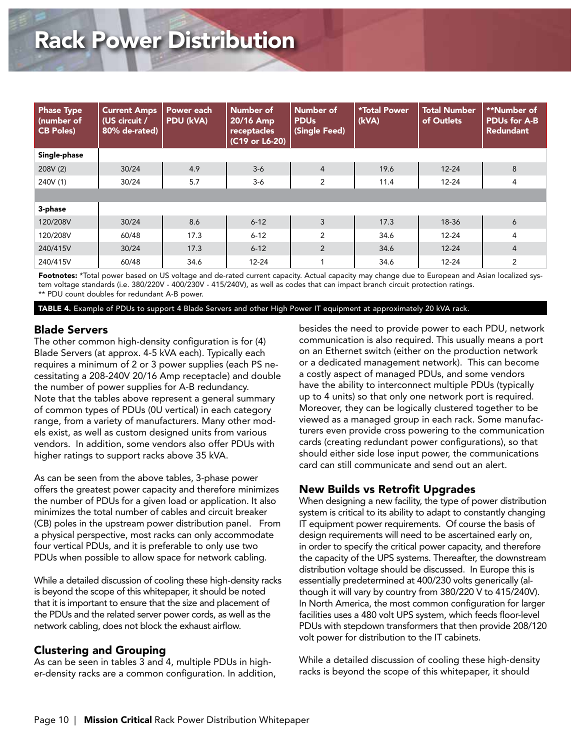| <b>Phase Type</b><br>(number of<br><b>CB Poles)</b> | <b>Current Amps</b><br>(US circuit /<br>80% de-rated) | Power each<br><b>PDU (kVA)</b> | Number of<br>20/16 Amp<br>receptacles<br>(C19 or L6-20) | Number of<br><b>PDU<sub>s</sub></b><br>(Single Feed) | <b>*Total Power</b><br>(kVA) | <b>Total Number</b><br>of Outlets | **Number of<br><b>PDUs for A-B</b><br><b>Redundant</b> |
|-----------------------------------------------------|-------------------------------------------------------|--------------------------------|---------------------------------------------------------|------------------------------------------------------|------------------------------|-----------------------------------|--------------------------------------------------------|
| Single-phase                                        |                                                       |                                |                                                         |                                                      |                              |                                   |                                                        |
| 208V (2)                                            | 30/24                                                 | 4.9                            | $3-6$                                                   | $\overline{4}$                                       | 19.6                         | $12 - 24$                         | 8                                                      |
| 240V (1)                                            | 30/24                                                 | 5.7                            | $3-6$                                                   | 2                                                    | 11.4                         | $12 - 24$                         | 4                                                      |
|                                                     |                                                       |                                |                                                         |                                                      |                              |                                   |                                                        |
| 3-phase                                             |                                                       |                                |                                                         |                                                      |                              |                                   |                                                        |
| 120/208V                                            | 30/24                                                 | 8.6                            | $6 - 12$                                                | 3                                                    | 17.3                         | 18-36                             | 6                                                      |
| 120/208V                                            | 60/48                                                 | 17.3                           | $6 - 12$                                                | $\overline{2}$                                       | 34.6                         | $12 - 24$                         | $\overline{4}$                                         |
| 240/415V                                            | 30/24                                                 | 17.3                           | $6 - 12$                                                | $\overline{2}$                                       | 34.6                         | $12 - 24$                         | $\overline{4}$                                         |
| 240/415V                                            | 60/48                                                 | 34.6                           | $12 - 24$                                               |                                                      | 34.6                         | $12 - 24$                         | 2                                                      |

Footnotes: \*Total power based on US voltage and de-rated current capacity. Actual capacity may change due to European and Asian localized system voltage standards (i.e. 380/220V - 400/230V - 415/240V), as well as codes that can impact branch circuit protection ratings. \*\* PDU count doubles for redundant A-B power.

TABLE 4. Example of PDUs to support 4 Blade Servers and other High Power IT equipment at approximately 20 kVA rack.

#### Blade Servers

The other common high-density configuration is for (4) Blade Servers (at approx. 4-5 kVA each). Typically each requires a minimum of 2 or 3 power supplies (each PS necessitating a 208-240V 20/16 Amp receptacle) and double the number of power supplies for A-B redundancy. Note that the tables above represent a general summary of common types of PDUs (0U vertical) in each category range, from a variety of manufacturers. Many other models exist, as well as custom designed units from various vendors. In addition, some vendors also offer PDUs with higher ratings to support racks above 35 kVA.

As can be seen from the above tables, 3-phase power offers the greatest power capacity and therefore minimizes the number of PDUs for a given load or application. It also minimizes the total number of cables and circuit breaker (CB) poles in the upstream power distribution panel. From a physical perspective, most racks can only accommodate four vertical PDUs, and it is preferable to only use two PDUs when possible to allow space for network cabling.

While a detailed discussion of cooling these high-density racks is beyond the scope of this whitepaper, it should be noted that it is important to ensure that the size and placement of the PDUs and the related server power cords, as well as the network cabling, does not block the exhaust airflow.

#### Clustering and Grouping

As can be seen in tables 3 and 4, multiple PDUs in higher-density racks are a common configuration. In addition, besides the need to provide power to each PDU, network communication is also required. This usually means a port on an Ethernet switch (either on the production network or a dedicated management network). This can become a costly aspect of managed PDUs, and some vendors have the ability to interconnect multiple PDUs (typically up to 4 units) so that only one network port is required. Moreover, they can be logically clustered together to be viewed as a managed group in each rack. Some manufacturers even provide cross powering to the communication cards (creating redundant power configurations), so that should either side lose input power, the communications card can still communicate and send out an alert.

#### New Builds vs Retrofit Upgrades

When designing a new facility, the type of power distribution system is critical to its ability to adapt to constantly changing IT equipment power requirements. Of course the basis of design requirements will need to be ascertained early on, in order to specify the critical power capacity, and therefore the capacity of the UPS systems. Thereafter, the downstream distribution voltage should be discussed. In Europe this is essentially predetermined at 400/230 volts generically (although it will vary by country from 380/220 V to 415/240V). In North America, the most common configuration for larger facilities uses a 480 volt UPS system, which feeds floor-level PDUs with stepdown transformers that then provide 208/120 volt power for distribution to the IT cabinets.

While a detailed discussion of cooling these high-density racks is beyond the scope of this whitepaper, it should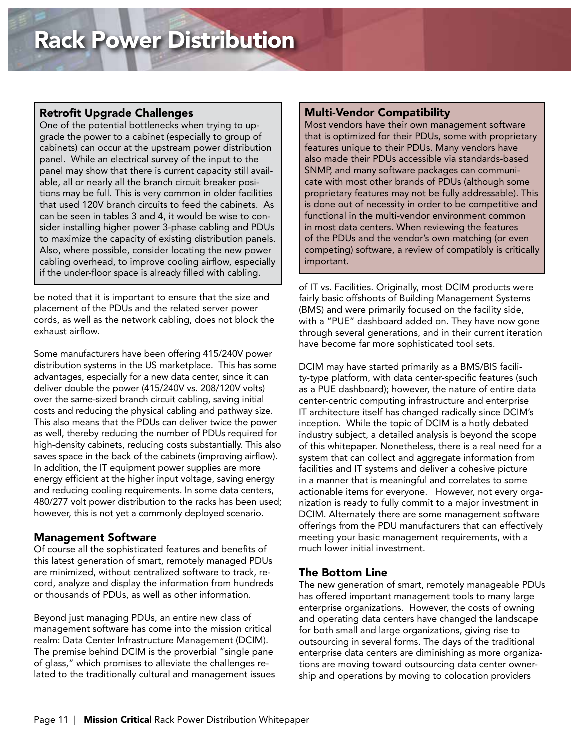#### Retrofit Upgrade Challenges

One of the potential bottlenecks when trying to upgrade the power to a cabinet (especially to group of cabinets) can occur at the upstream power distribution panel. While an electrical survey of the input to the panel may show that there is current capacity still available, all or nearly all the branch circuit breaker positions may be full. This is very common in older facilities that used 120V branch circuits to feed the cabinets. As can be seen in tables 3 and 4, it would be wise to consider installing higher power 3-phase cabling and PDUs to maximize the capacity of existing distribution panels. Also, where possible, consider locating the new power cabling overhead, to improve cooling airflow, especially if the under-floor space is already filled with cabling.

be noted that it is important to ensure that the size and placement of the PDUs and the related server power cords, as well as the network cabling, does not block the exhaust airflow.

Some manufacturers have been offering 415/240V power distribution systems in the US marketplace. This has some advantages, especially for a new data center, since it can deliver double the power (415/240V vs. 208/120V volts) over the same-sized branch circuit cabling, saving initial costs and reducing the physical cabling and pathway size. This also means that the PDUs can deliver twice the power as well, thereby reducing the number of PDUs required for high-density cabinets, reducing costs substantially. This also saves space in the back of the cabinets (improving airflow). In addition, the IT equipment power supplies are more energy efficient at the higher input voltage, saving energy and reducing cooling requirements. In some data centers, 480/277 volt power distribution to the racks has been used; however, this is not yet a commonly deployed scenario.

#### Management Software

Of course all the sophisticated features and benefits of this latest generation of smart, remotely managed PDUs are minimized, without centralized software to track, record, analyze and display the information from hundreds or thousands of PDUs, as well as other information.

Beyond just managing PDUs, an entire new class of management software has come into the mission critical realm: Data Center Infrastructure Management (DCIM). The premise behind DCIM is the proverbial "single pane of glass," which promises to alleviate the challenges related to the traditionally cultural and management issues

#### Multi-Vendor Compatibility

Most vendors have their own management software that is optimized for their PDUs, some with proprietary features unique to their PDUs. Many vendors have also made their PDUs accessible via standards-based SNMP, and many software packages can communicate with most other brands of PDUs (although some proprietary features may not be fully addressable). This is done out of necessity in order to be competitive and functional in the multi-vendor environment common in most data centers. When reviewing the features of the PDUs and the vendor's own matching (or even competing) software, a review of compatibly is critically important.

of IT vs. Facilities. Originally, most DCIM products were fairly basic offshoots of Building Management Systems (BMS) and were primarily focused on the facility side, with a "PUE" dashboard added on. They have now gone through several generations, and in their current iteration have become far more sophisticated tool sets.

DCIM may have started primarily as a BMS/BIS facility-type platform, with data center-specific features (such as a PUE dashboard); however, the nature of entire data center-centric computing infrastructure and enterprise IT architecture itself has changed radically since DCIM's inception. While the topic of DCIM is a hotly debated industry subject, a detailed analysis is beyond the scope of this whitepaper. Nonetheless, there is a real need for a system that can collect and aggregate information from facilities and IT systems and deliver a cohesive picture in a manner that is meaningful and correlates to some actionable items for everyone. However, not every organization is ready to fully commit to a major investment in DCIM. Alternately there are some management software offerings from the PDU manufacturers that can effectively meeting your basic management requirements, with a much lower initial investment.

### The Bottom Line

The new generation of smart, remotely manageable PDUs has offered important management tools to many large enterprise organizations. However, the costs of owning and operating data centers have changed the landscape for both small and large organizations, giving rise to outsourcing in several forms. The days of the traditional enterprise data centers are diminishing as more organizations are moving toward outsourcing data center ownership and operations by moving to colocation providers